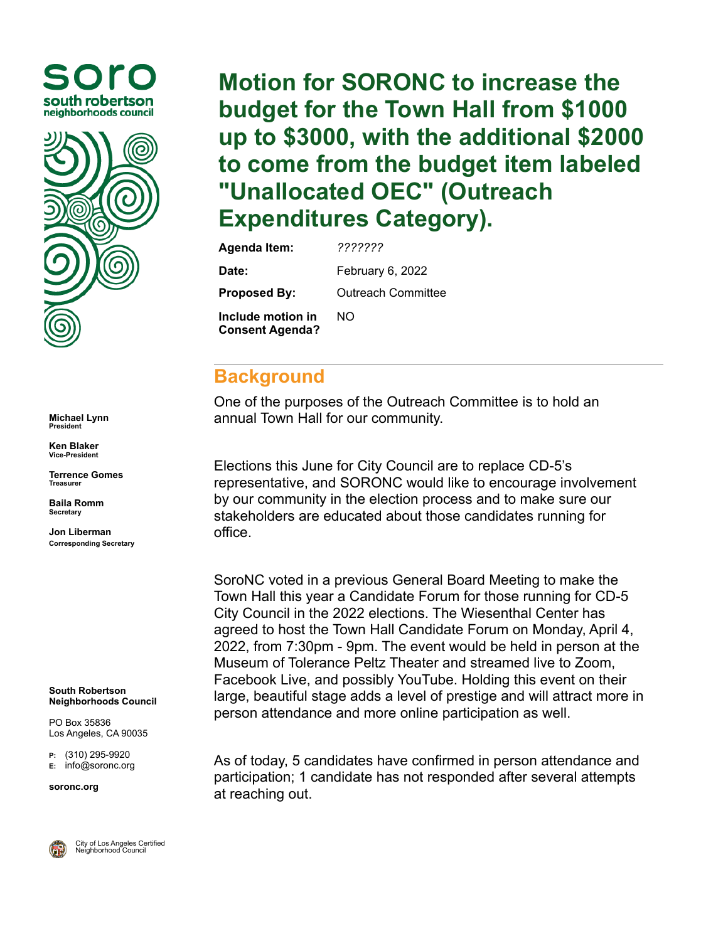



**Michael Lynn President**

**Ken Blaker Vice-President**

**Terrence Gomes Treasurer**

**Baila Romm Secretary**

**Jon Liberman Corresponding Secretary**

**South Robertson Neighborhoods Council**

PO Box 35836 Los Angeles, CA 90035

**P:** (310) 295-9920 **E:** [info@soronc.org](mailto:info@soronc.org)

**soronc.org**



City of Los Angeles Certified Neighborhood Council

**Motion for SORONC to increase the budget for the Town Hall from \$1000 up to \$3000, with the additional \$2000 to come from the budget item labeled "Unallocated OEC" (Outreach Expenditures Category).**

| <b>Agenda Item:</b>                         | ???????                   |  |  |
|---------------------------------------------|---------------------------|--|--|
| Date:                                       | February 6, 2022          |  |  |
| <b>Proposed By:</b>                         | <b>Outreach Committee</b> |  |  |
| Include motion in<br><b>Consent Agenda?</b> | NΩ                        |  |  |

## **Background**

One of the purposes of the Outreach Committee is to hold an annual Town Hall for our community.

Elections this June for City Council are to replace CD-5's representative, and SORONC would like to encourage involvement by our community in the election process and to make sure our stakeholders are educated about those candidates running for office.

SoroNC voted in a previous General Board Meeting to make the Town Hall this year a Candidate Forum for those running for CD-5 City Council in the 2022 elections. The Wiesenthal Center has agreed to host the Town Hall Candidate Forum on Monday, April 4, 2022, from 7:30pm - 9pm. The event would be held in person at the Museum of Tolerance Peltz Theater and streamed live to Zoom, Facebook Live, and possibly YouTube. Holding this event on their large, beautiful stage adds a level of prestige and will attract more in person attendance and more online participation as well.

As of today, 5 candidates have confirmed in person attendance and participation; 1 candidate has not responded after several attempts at reaching out.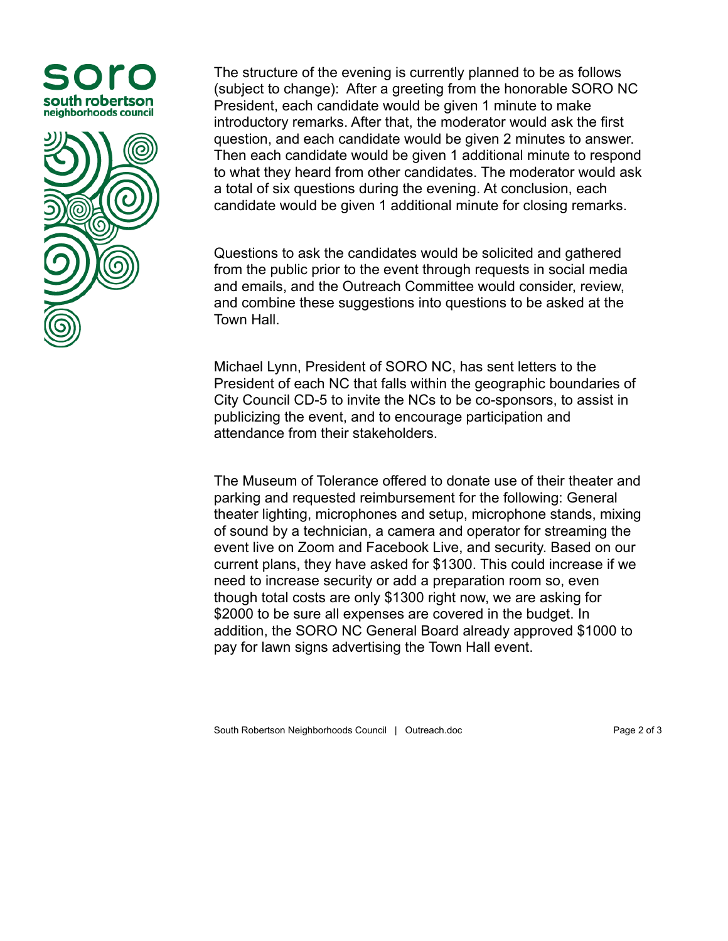



The structure of the evening is currently planned to be as follows (subject to change): After a greeting from the honorable SORO NC President, each candidate would be given 1 minute to make introductory remarks. After that, the moderator would ask the first question, and each candidate would be given 2 minutes to answer. Then each candidate would be given 1 additional minute to respond to what they heard from other candidates. The moderator would ask a total of six questions during the evening. At conclusion, each candidate would be given 1 additional minute for closing remarks.

Questions to ask the candidates would be solicited and gathered from the public prior to the event through requests in social media and emails, and the Outreach Committee would consider, review, and combine these suggestions into questions to be asked at the Town Hall.

Michael Lynn, President of SORO NC, has sent letters to the President of each NC that falls within the geographic boundaries of City Council CD-5 to invite the NCs to be co-sponsors, to assist in publicizing the event, and to encourage participation and attendance from their stakeholders.

The Museum of Tolerance offered to donate use of their theater and parking and requested reimbursement for the following: General theater lighting, microphones and setup, microphone stands, mixing of sound by a technician, a camera and operator for streaming the event live on Zoom and Facebook Live, and security. Based on our current plans, they have asked for \$1300. This could increase if we need to increase security or add a preparation room so, even though total costs are only \$1300 right now, we are asking for \$2000 to be sure all expenses are covered in the budget. In addition, the SORO NC General Board already approved \$1000 to pay for lawn signs advertising the Town Hall event.

South Robertson Neighborhoods Council | Outreach.doc Page 2 of 3